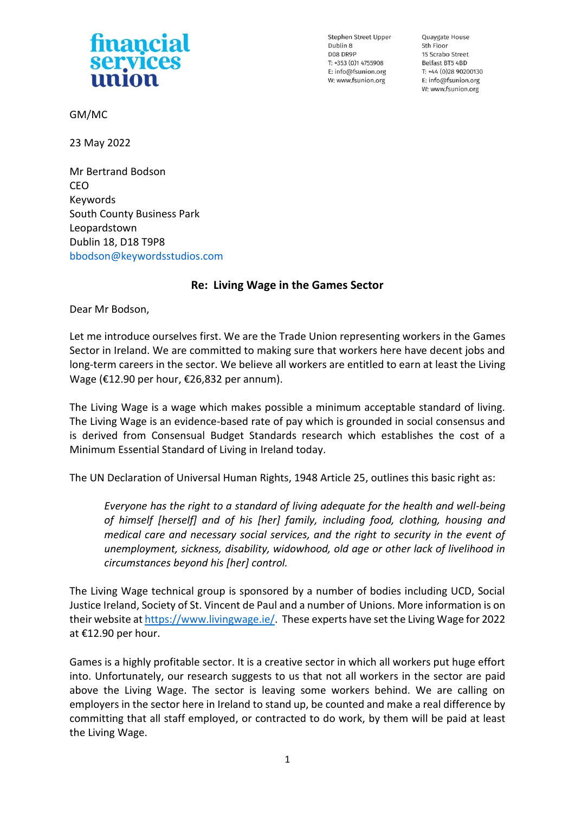## **financial** services union

Stephen Street Upper Dublin 8 DO8 DR9P  $T: +353(0)14755908$ E: info@fsunion.org W: www.fsunion.org

Quaygate House 5th Floor 15 Scrabo Street Belfast BT5 4BD T: +44 (0)28 90200130 E: info@fsunion.org W: www.fsunion.org

GM/MC

23 May 2022

Mr Bertrand Bodson CEO Keywords South County Business Park Leopardstown Dublin 18, D18 T9P8 [bbodson@keywordsstudios.com](mailto:bbodson@keywordsstudios.com)

## **Re: Living Wage in the Games Sector**

Dear Mr Bodson,

Let me introduce ourselves first. We are the Trade Union representing workers in the Games Sector in Ireland. We are committed to making sure that workers here have decent jobs and long-term careers in the sector. We believe all workers are entitled to earn at least the Living Wage (€12.90 per hour, €26,832 per annum).

The Living Wage is a wage which makes possible a minimum acceptable standard of living. The Living Wage is an evidence-based rate of pay which is grounded in social consensus and is derived from Consensual Budget Standards research which establishes the cost of a Minimum Essential Standard of Living in Ireland today.

The UN Declaration of Universal Human Rights, 1948 Article 25, outlines this basic right as:

*Everyone has the right to a standard of living adequate for the health and well-being of himself [herself] and of his [her] family, including food, clothing, housing and medical care and necessary social services, and the right to security in the event of unemployment, sickness, disability, widowhood, old age or other lack of livelihood in circumstances beyond his [her] control.*

The Living Wage technical group is sponsored by a number of bodies including UCD, Social Justice Ireland, Society of St. Vincent de Paul and a number of Unions. More information is on their website at [https://www.livingwage.ie/.](https://www.livingwage.ie/) These experts have set the Living Wage for 2022 at €12.90 per hour.

Games is a highly profitable sector. It is a creative sector in which all workers put huge effort into. Unfortunately, our research suggests to us that not all workers in the sector are paid above the Living Wage. The sector is leaving some workers behind. We are calling on employers in the sector here in Ireland to stand up, be counted and make a real difference by committing that all staff employed, or contracted to do work, by them will be paid at least the Living Wage.